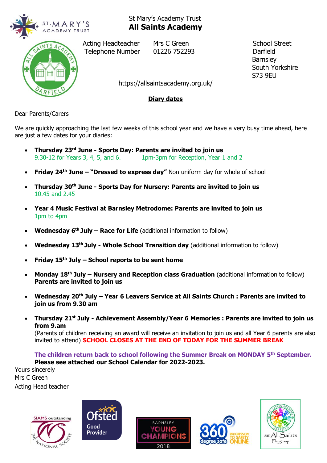



Acting Headteacher Mrs C Green School Street Telephone Number 01226 752293 Darfield

**Barnsley**  South Yorkshire S73 9EU

https://allsaintsacademy.org.uk/

## **Diary dates**

Dear Parents/Carers

We are quickly approaching the last few weeks of this school year and we have a very busy time ahead, here are just a few dates for your diaries:

- **Thursday 23rd June - Sports Day: Parents are invited to join us** 9.30-12 for Years 3, 4, 5, and 6. 1pm-3pm for Reception, Year 1 and 2
- **Friday 24th June – "Dressed to express day"** Non uniform day for whole of school
- **Thursday 30th June - Sports Day for Nursery: Parents are invited to join us** 10.45 and 2.45
- **Year 4 Music Festival at Barnsley Metrodome: Parents are invited to join us** 1pm to 4pm
- **Wednesday 6 th July – Race for Life** (additional information to follow)
- **Wednesday 13th July - Whole School Transition day** (additional information to follow)
- **Friday 15th July – School reports to be sent home**
- **Monday 18th July – Nursery and Reception class Graduation** (additional information to follow) **Parents are invited to join us**
- **Wednesday 20th July – Year 6 Leavers Service at All Saints Church : Parents are invited to join us from 9.30 am**
- **Thursday 21st July - Achievement Assembly/Year 6 Memories : Parents are invited to join us from 9.am**

(Parents of children receiving an award will receive an invitation to join us and all Year 6 parents are also invited to attend) **SCHOOL CLOSES AT THE END OF TODAY FOR THE SUMMER BREAK**

**The children return back to school following the Summer Break on MONDAY 5th September. Please see attached our School Calendar for 2022-2023.**

Yours sincerely Mrs C Green Acting Head teacher